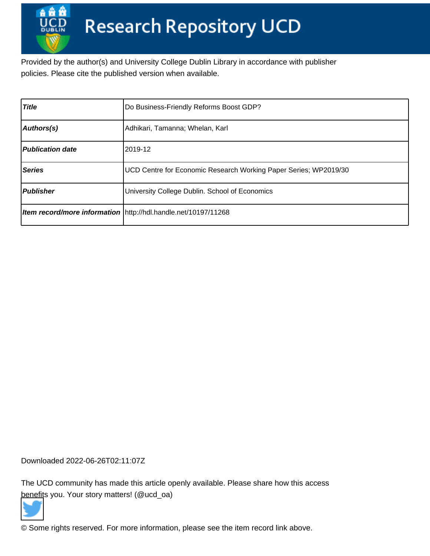Provided by the author(s) and University College Dublin Library in accordance with publisher policies. Please cite the published version when available.

| <b>Title</b>            | Do Business-Friendly Reforms Boost GDP?                          |
|-------------------------|------------------------------------------------------------------|
| Authors(s)              | Adhikari, Tamanna; Whelan, Karl                                  |
| <b>Publication date</b> | 2019-12                                                          |
| <b>Series</b>           | UCD Centre for Economic Research Working Paper Series; WP2019/30 |
| <b>Publisher</b>        | University College Dublin. School of Economics                   |
|                         | Item record/more information   http://hdl.handle.net/10197/11268 |

Downloaded 2022-06-26T02:11:07Z

The UCD community has made this article openly available. Please share how this access [benefit](https://twitter.com/intent/tweet?via=ucd_oa&text=Do+Business-Friendly+Reforms+Boost+GDP%3F&url=http%3A%2F%2Fhdl.handle.net%2F10197%2F11268)s you. Your story matters! (@ucd\_oa)



© Some rights reserved. For more information, please see the item record link above.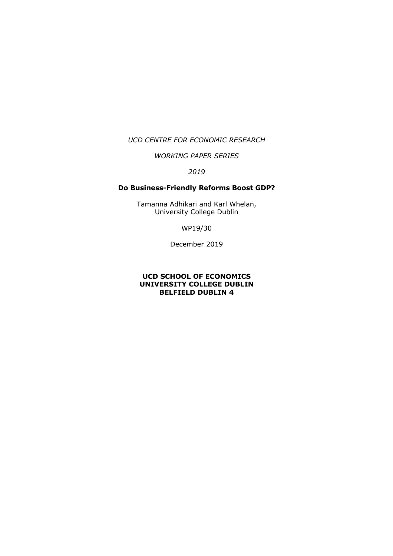#### *UCD CENTRE FOR ECONOMIC RESEARCH*

## *WORKING PAPER SERIES*

# *2019*

### **Do Business-Friendly Reforms Boost GDP?**

Tamanna Adhikari and Karl Whelan, University College Dublin

WP19/30

December 2019

#### **UCD SCHOOL OF ECONOMICS UNIVERSITY COLLEGE DUBLIN BELFIELD DUBLIN 4**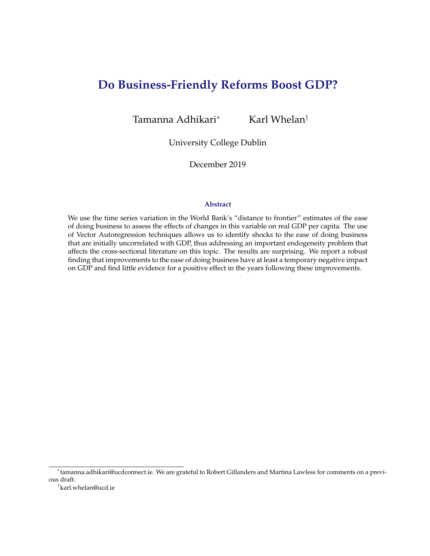# **Do Business-Friendly Reforms Boost GDP?**

Tamanna Adhikari<sup>∗</sup> Karl Whelan<sup>†</sup>

University College Dublin

December 2019

#### **Abstract**

We use the time series variation in the World Bank's "distance to frontier" estimates of the ease of doing business to assess the effects of changes in this variable on real GDP per capita. The use of Vector Autoregression techniques allows us to identify shocks to the ease of doing business that are initially uncorrelated with GDP, thus addressing an important endogeneity problem that affects the cross-sectional literature on this topic. The results are surprising. We report a robust finding that improvements to the ease of doing business have at least a temporary negative impact on GDP and find little evidence for a positive effect in the years following these improvements.

<sup>∗</sup> tamanna.adhikari@ucdconnect.ie. We are grateful to Robert Gillanders and Martina Lawless for comments on a previous draft.

<sup>†</sup> karl.whelan@ucd.ie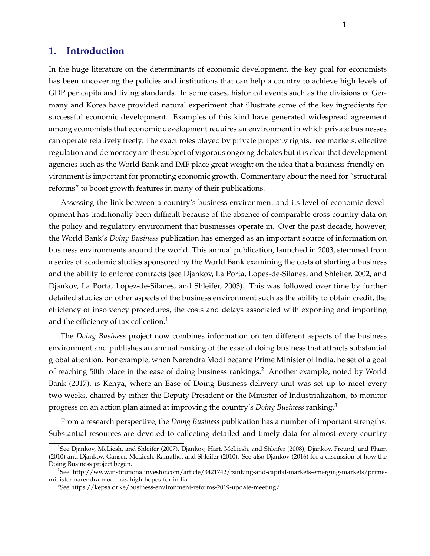# **1. Introduction**

In the huge literature on the determinants of economic development, the key goal for economists has been uncovering the policies and institutions that can help a country to achieve high levels of GDP per capita and living standards. In some cases, historical events such as the divisions of Germany and Korea have provided natural experiment that illustrate some of the key ingredients for successful economic development. Examples of this kind have generated widespread agreement among economists that economic development requires an environment in which private businesses can operate relatively freely. The exact roles played by private property rights, free markets, effective regulation and democracy are the subject of vigorous ongoing debates but it is clear that development agencies such as the World Bank and IMF place great weight on the idea that a business-friendly environment is important for promoting economic growth. Commentary about the need for "structural reforms" to boost growth features in many of their publications.

Assessing the link between a country's business environment and its level of economic development has traditionally been difficult because of the absence of comparable cross-country data on the policy and regulatory environment that businesses operate in. Over the past decade, however, the World Bank's *Doing Business* publication has emerged as an important source of information on business environments around the world. This annual publication, launched in 2003, stemmed from a series of academic studies sponsored by the World Bank examining the costs of starting a business and the ability to enforce contracts (see Djankov, La Porta, Lopes-de-Silanes, and Shleifer, 2002, and Djankov, La Porta, Lopez-de-Silanes, and Shleifer, 2003). This was followed over time by further detailed studies on other aspects of the business environment such as the ability to obtain credit, the efficiency of insolvency procedures, the costs and delays associated with exporting and importing and the efficiency of tax collection.<sup>1</sup>

The *Doing Business* project now combines information on ten different aspects of the business environment and publishes an annual ranking of the ease of doing business that attracts substantial global attention. For example, when Narendra Modi became Prime Minister of India, he set of a goal of reaching 50th place in the ease of doing business rankings.<sup>2</sup> Another example, noted by World Bank (2017), is Kenya, where an Ease of Doing Business delivery unit was set up to meet every two weeks, chaired by either the Deputy President or the Minister of Industrialization, to monitor progress on an action plan aimed at improving the country's *Doing Business* ranking.<sup>3</sup>

From a research perspective, the *Doing Business* publication has a number of important strengths. Substantial resources are devoted to collecting detailed and timely data for almost every country

<sup>1</sup> See Djankov, McLiesh, and Shleifer (2007), Djankov, Hart, McLiesh, and Shleifer (2008), Djankov, Freund, and Pham (2010) and Djankov, Ganser, McLiesh, Ramalho, and Shleifer (2010). See also Djankov (2016) for a discussion of how the Doing Business project began.

<sup>2</sup> See http://www.institutionalinvestor.com/article/3421742/banking-and-capital-markets-emerging-markets/primeminister-narendra-modi-has-high-hopes-for-india

<sup>3</sup> See https://kepsa.or.ke/business-environment-reforms-2019-update-meeting/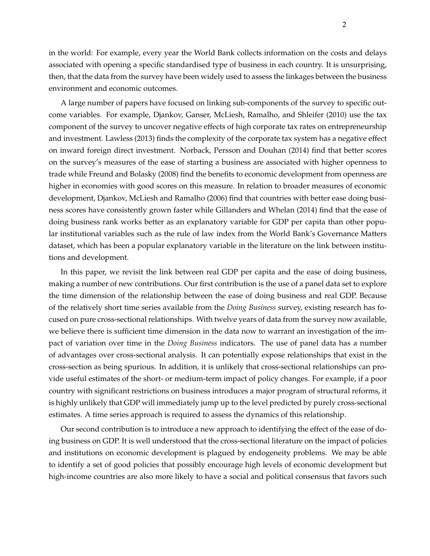in the world: For example, every year the World Bank collects information on the costs and delays associated with opening a specific standardised type of business in each country. It is unsurprising, then, that the data from the survey have been widely used to assess the linkages between the business environment and economic outcomes.

A large number of papers have focused on linking sub-components of the survey to specific outcome variables. For example, Djankov, Ganser, McLiesh, Ramalho, and Shleifer (2010) use the tax component of the survey to uncover negative effects of high corporate tax rates on entrepreneurship and investment. Lawless (2013) finds the complexity of the corporate tax system has a negative effect on inward foreign direct investment. Norback, Persson and Douhan (2014) find that better scores on the survey's measures of the ease of starting a business are associated with higher openness to trade while Freund and Bolasky (2008) find the benefits to economic development from openness are higher in economies with good scores on this measure. In relation to broader measures of economic development, Djankov, McLiesh and Ramalho (2006) find that countries with better ease doing business scores have consistently grown faster while Gillanders and Whelan (2014) find that the ease of doing business rank works better as an explanatory variable for GDP per capita than other popular institutional variables such as the rule of law index from the World Bank's Governance Matters dataset, which has been a popular explanatory variable in the literature on the link between institutions and development.

In this paper, we revisit the link between real GDP per capita and the ease of doing business, making a number of new contributions. Our first contribution is the use of a panel data set to explore the time dimension of the relationship between the ease of doing business and real GDP. Because of the relatively short time series available from the *Doing Business* survey, existing research has focused on pure cross-sectional relationships. With twelve years of data from the survey now available, we believe there is sufficient time dimension in the data now to warrant an investigation of the impact of variation over time in the *Doing Business* indicators. The use of panel data has a number of advantages over cross-sectional analysis. It can potentially expose relationships that exist in the cross-section as being spurious. In addition, it is unlikely that cross-sectional relationships can provide useful estimates of the short- or medium-term impact of policy changes. For example, if a poor country with significant restrictions on business introduces a major program of structural reforms, it is highly unlikely that GDP will immediately jump up to the level predicted by purely cross-sectional estimates. A time series approach is required to assess the dynamics of this relationship.

Our second contribution is to introduce a new approach to identifying the effect of the ease of doing business on GDP. It is well understood that the cross-sectional literature on the impact of policies and institutions on economic development is plagued by endogeneity problems. We may be able to identify a set of good policies that possibly encourage high levels of economic development but high-income countries are also more likely to have a social and political consensus that favors such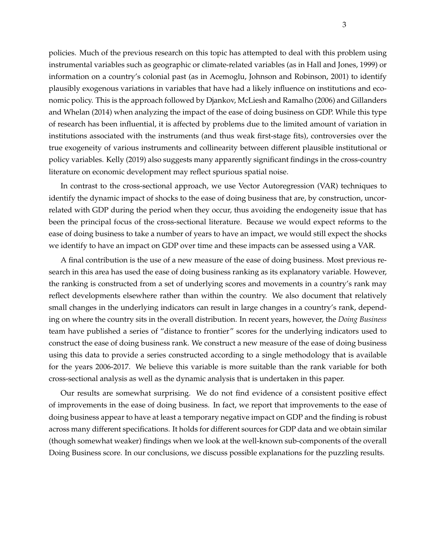policies. Much of the previous research on this topic has attempted to deal with this problem using instrumental variables such as geographic or climate-related variables (as in Hall and Jones, 1999) or information on a country's colonial past (as in Acemoglu, Johnson and Robinson, 2001) to identify plausibly exogenous variations in variables that have had a likely influence on institutions and economic policy. This is the approach followed by Djankov, McLiesh and Ramalho (2006) and Gillanders and Whelan (2014) when analyzing the impact of the ease of doing business on GDP. While this type of research has been influential, it is affected by problems due to the limited amount of variation in institutions associated with the instruments (and thus weak first-stage fits), controversies over the true exogeneity of various instruments and collinearity between different plausible institutional or policy variables. Kelly (2019) also suggests many apparently significant findings in the cross-country literature on economic development may reflect spurious spatial noise.

In contrast to the cross-sectional approach, we use Vector Autoregression (VAR) techniques to identify the dynamic impact of shocks to the ease of doing business that are, by construction, uncorrelated with GDP during the period when they occur, thus avoiding the endogeneity issue that has been the principal focus of the cross-sectional literature. Because we would expect reforms to the ease of doing business to take a number of years to have an impact, we would still expect the shocks we identify to have an impact on GDP over time and these impacts can be assessed using a VAR.

A final contribution is the use of a new measure of the ease of doing business. Most previous research in this area has used the ease of doing business ranking as its explanatory variable. However, the ranking is constructed from a set of underlying scores and movements in a country's rank may reflect developments elsewhere rather than within the country. We also document that relatively small changes in the underlying indicators can result in large changes in a country's rank, depending on where the country sits in the overall distribution. In recent years, however, the *Doing Business* team have published a series of "distance to frontier" scores for the underlying indicators used to construct the ease of doing business rank. We construct a new measure of the ease of doing business using this data to provide a series constructed according to a single methodology that is available for the years 2006-2017. We believe this variable is more suitable than the rank variable for both cross-sectional analysis as well as the dynamic analysis that is undertaken in this paper.

Our results are somewhat surprising. We do not find evidence of a consistent positive effect of improvements in the ease of doing business. In fact, we report that improvements to the ease of doing business appear to have at least a temporary negative impact on GDP and the finding is robust across many different specifications. It holds for different sources for GDP data and we obtain similar (though somewhat weaker) findings when we look at the well-known sub-components of the overall Doing Business score. In our conclusions, we discuss possible explanations for the puzzling results.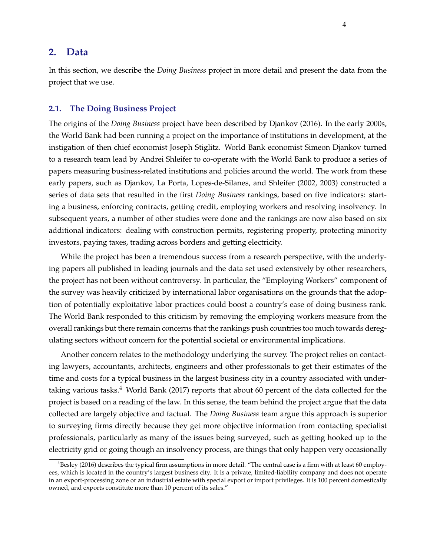# **2. Data**

In this section, we describe the *Doing Business* project in more detail and present the data from the project that we use.

#### **2.1. The Doing Business Project**

The origins of the *Doing Business* project have been described by Djankov (2016). In the early 2000s, the World Bank had been running a project on the importance of institutions in development, at the instigation of then chief economist Joseph Stiglitz. World Bank economist Simeon Djankov turned to a research team lead by Andrei Shleifer to co-operate with the World Bank to produce a series of papers measuring business-related institutions and policies around the world. The work from these early papers, such as Djankov, La Porta, Lopes-de-Silanes, and Shleifer (2002, 2003) constructed a series of data sets that resulted in the first *Doing Business* rankings, based on five indicators: starting a business, enforcing contracts, getting credit, employing workers and resolving insolvency. In subsequent years, a number of other studies were done and the rankings are now also based on six additional indicators: dealing with construction permits, registering property, protecting minority investors, paying taxes, trading across borders and getting electricity.

While the project has been a tremendous success from a research perspective, with the underlying papers all published in leading journals and the data set used extensively by other researchers, the project has not been without controversy. In particular, the "Employing Workers" component of the survey was heavily criticized by international labor organisations on the grounds that the adoption of potentially exploitative labor practices could boost a country's ease of doing business rank. The World Bank responded to this criticism by removing the employing workers measure from the overall rankings but there remain concerns that the rankings push countries too much towards deregulating sectors without concern for the potential societal or environmental implications.

Another concern relates to the methodology underlying the survey. The project relies on contacting lawyers, accountants, architects, engineers and other professionals to get their estimates of the time and costs for a typical business in the largest business city in a country associated with undertaking various tasks.<sup>4</sup> World Bank (2017) reports that about 60 percent of the data collected for the project is based on a reading of the law. In this sense, the team behind the project argue that the data collected are largely objective and factual. The *Doing Business* team argue this approach is superior to surveying firms directly because they get more objective information from contacting specialist professionals, particularly as many of the issues being surveyed, such as getting hooked up to the electricity grid or going though an insolvency process, are things that only happen very occasionally

 $4B$ esley (2016) describes the typical firm assumptions in more detail. "The central case is a firm with at least 60 employees, which is located in the country's largest business city. It is a private, limited-liability company and does not operate in an export-processing zone or an industrial estate with special export or import privileges. It is 100 percent domestically owned, and exports constitute more than 10 percent of its sales."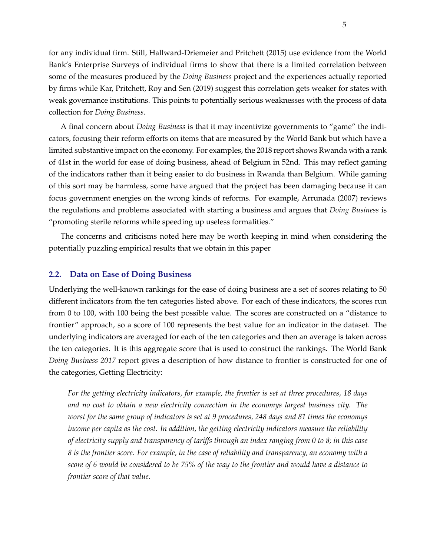for any individual firm. Still, Hallward-Driemeier and Pritchett (2015) use evidence from the World Bank's Enterprise Surveys of individual firms to show that there is a limited correlation between some of the measures produced by the *Doing Business* project and the experiences actually reported by firms while Kar, Pritchett, Roy and Sen (2019) suggest this correlation gets weaker for states with weak governance institutions. This points to potentially serious weaknesses with the process of data collection for *Doing Business*.

A final concern about *Doing Business* is that it may incentivize governments to "game" the indicators, focusing their reform efforts on items that are measured by the World Bank but which have a limited substantive impact on the economy. For examples, the 2018 report shows Rwanda with a rank of 41st in the world for ease of doing business, ahead of Belgium in 52nd. This may reflect gaming of the indicators rather than it being easier to do business in Rwanda than Belgium. While gaming of this sort may be harmless, some have argued that the project has been damaging because it can focus government energies on the wrong kinds of reforms. For example, Arrunada (2007) reviews the regulations and problems associated with starting a business and argues that *Doing Business* is "promoting sterile reforms while speeding up useless formalities."

The concerns and criticisms noted here may be worth keeping in mind when considering the potentially puzzling empirical results that we obtain in this paper

#### **2.2. Data on Ease of Doing Business**

Underlying the well-known rankings for the ease of doing business are a set of scores relating to 50 different indicators from the ten categories listed above. For each of these indicators, the scores run from 0 to 100, with 100 being the best possible value. The scores are constructed on a "distance to frontier" approach, so a score of 100 represents the best value for an indicator in the dataset. The underlying indicators are averaged for each of the ten categories and then an average is taken across the ten categories. It is this aggregate score that is used to construct the rankings. The World Bank *Doing Business 2017* report gives a description of how distance to frontier is constructed for one of the categories, Getting Electricity:

*For the getting electricity indicators, for example, the frontier is set at three procedures, 18 days and no cost to obtain a new electricity connection in the economys largest business city. The worst for the same group of indicators is set at 9 procedures, 248 days and 81 times the economys income per capita as the cost. In addition, the getting electricity indicators measure the reliability of electricity supply and transparency of tariffs through an index ranging from 0 to 8; in this case 8 is the frontier score. For example, in the case of reliability and transparency, an economy with a score of 6 would be considered to be 75% of the way to the frontier and would have a distance to frontier score of that value.*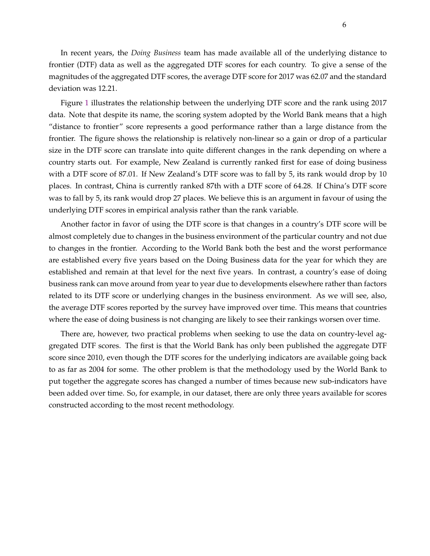6

In recent years, the *Doing Business* team has made available all of the underlying distance to frontier (DTF) data as well as the aggregated DTF scores for each country. To give a sense of the magnitudes of the aggregated DTF scores, the average DTF score for 2017 was 62.07 and the standard deviation was 12.21.

Figure 1 illustrates the relationship between the underlying DTF score and the rank using 2017 data. Note that despite its name, the scoring system adopted by the World Bank means that a high "distance to frontier" score represents a good performance rather than a large distance from the frontier. The figure shows the relationship is relatively non-linear so a gain or drop of a particular size in the DTF score can translate into quite different changes in the rank depending on where a country starts out. For example, New Zealand is currently ranked first for ease of doing business with a DTF score of 87.01. If New Zealand's DTF score was to fall by 5, its rank would drop by 10 places. In contrast, China is currently ranked 87th with a DTF score of 64.28. If China's DTF score was to fall by 5, its rank would drop 27 places. We believe this is an argument in favour of using the underlying DTF scores in empirical analysis rather than the rank variable.

Another factor in favor of using the DTF score is that changes in a country's DTF score will be almost completely due to changes in the business environment of the particular country and not due to changes in the frontier. According to the World Bank both the best and the worst performance are established every five years based on the Doing Business data for the year for which they are established and remain at that level for the next five years. In contrast, a country's ease of doing business rank can move around from year to year due to developments elsewhere rather than factors related to its DTF score or underlying changes in the business environment. As we will see, also, the average DTF scores reported by the survey have improved over time. This means that countries where the ease of doing business is not changing are likely to see their rankings worsen over time.

There are, however, two practical problems when seeking to use the data on country-level aggregated DTF scores. The first is that the World Bank has only been published the aggregate DTF score since 2010, even though the DTF scores for the underlying indicators are available going back to as far as 2004 for some. The other problem is that the methodology used by the World Bank to put together the aggregate scores has changed a number of times because new sub-indicators have been added over time. So, for example, in our dataset, there are only three years available for scores constructed according to the most recent methodology.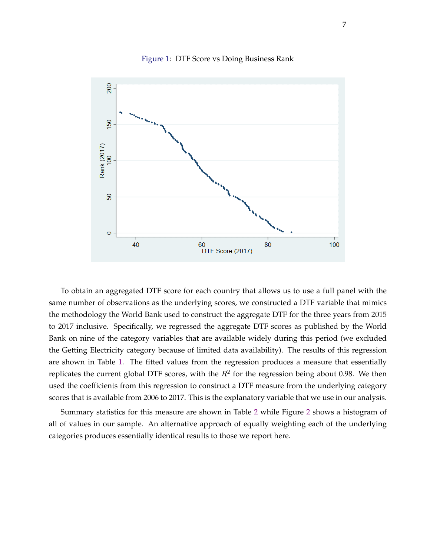

#### Figure 1: DTF Score vs Doing Business Rank

To obtain an aggregated DTF score for each country that allows us to use a full panel with the same number of observations as the underlying scores, we constructed a DTF variable that mimics the methodology the World Bank used to construct the aggregate DTF for the three years from 2015 to 2017 inclusive. Specifically, we regressed the aggregate DTF scores as published by the World Bank on nine of the category variables that are available widely during this period (we excluded the Getting Electricity category because of limited data availability). The results of this regression are shown in Table 1. The fitted values from the regression produces a measure that essentially replicates the current global DTF scores, with the  $R^2$  for the regression being about 0.98. We then used the coefficients from this regression to construct a DTF measure from the underlying category scores that is available from 2006 to 2017. This is the explanatory variable that we use in our analysis.

Summary statistics for this measure are shown in Table 2 while Figure 2 shows a histogram of all of values in our sample. An alternative approach of equally weighting each of the underlying categories produces essentially identical results to those we report here.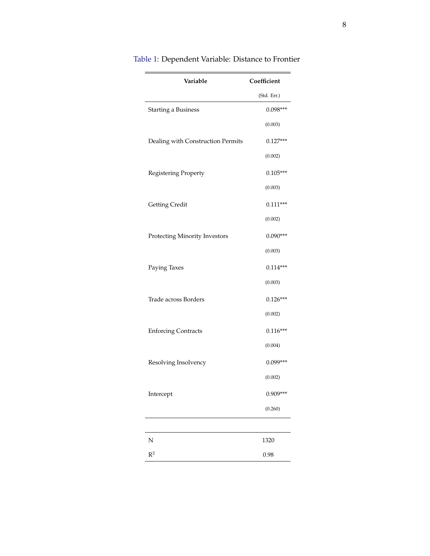| Variable                          | Coefficient |
|-----------------------------------|-------------|
|                                   | (Std. Err.) |
| <b>Starting a Business</b>        | $0.098***$  |
|                                   | (0.003)     |
| Dealing with Construction Permits | $0.127***$  |
|                                   | (0.002)     |
| Registering Property              | $0.105***$  |
|                                   | (0.003)     |
| <b>Getting Credit</b>             | $0.111***$  |
|                                   | (0.002)     |
| Protecting Minority Investors     | $0.090***$  |
|                                   | (0.003)     |
| Paying Taxes                      | $0.114***$  |
|                                   | (0.003)     |
| Trade across Borders              | $0.126***$  |
|                                   | (0.002)     |
| <b>Enforcing Contracts</b>        | $0.116***$  |
|                                   | (0.004)     |
| Resolving Insolvency              | $0.099***$  |
|                                   | (0.002)     |
| Intercept                         | 0.909***    |
|                                   | (0.260)     |
|                                   |             |
| N                                 | 1320        |
| $\mathbb{R}^2$                    | 0.98        |

# Table 1: Dependent Variable: Distance to Frontier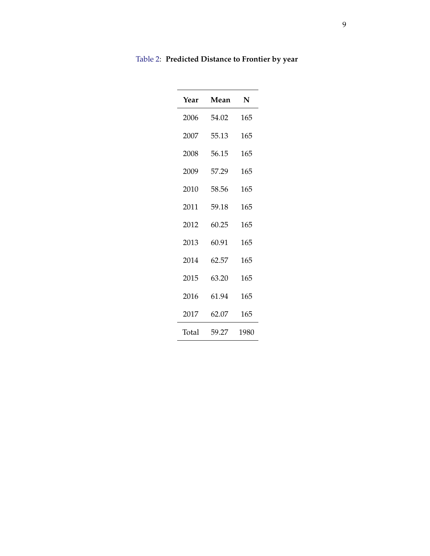| Year         | Mean  | N    |
|--------------|-------|------|
| 2006         | 54.02 | 165  |
| 2007         | 55.13 | 165  |
| 2008         | 56.15 | 165  |
| 2009         | 57.29 | 165  |
| 2010         | 58.56 | 165  |
| 2011         | 59.18 | 165  |
| 2012         | 60.25 | 165  |
| 2013         | 60.91 | 165  |
| 2014         | 62.57 | 165  |
| 2015         | 63.20 | 165  |
| 2016         | 61.94 | 165  |
| 2017         | 62.07 | 165  |
| <b>Total</b> | 59.27 | 1980 |

Table 2: **Predicted Distance to Frontier by year**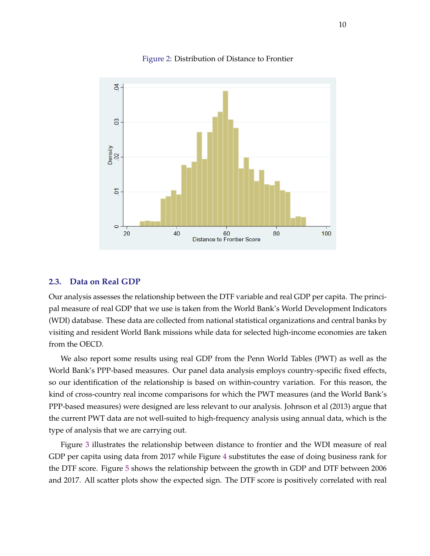

Figure 2: Distribution of Distance to Frontier

#### **2.3. Data on Real GDP**

Our analysis assesses the relationship between the DTF variable and real GDP per capita. The principal measure of real GDP that we use is taken from the World Bank's World Development Indicators (WDI) database. These data are collected from national statistical organizations and central banks by visiting and resident World Bank missions while data for selected high-income economies are taken from the OECD.

We also report some results using real GDP from the Penn World Tables (PWT) as well as the World Bank's PPP-based measures. Our panel data analysis employs country-specific fixed effects, so our identification of the relationship is based on within-country variation. For this reason, the kind of cross-country real income comparisons for which the PWT measures (and the World Bank's PPP-based measures) were designed are less relevant to our analysis. Johnson et al (2013) argue that the current PWT data are not well-suited to high-frequency analysis using annual data, which is the type of analysis that we are carrying out.

Figure 3 illustrates the relationship between distance to frontier and the WDI measure of real GDP per capita using data from 2017 while Figure 4 substitutes the ease of doing business rank for the DTF score. Figure 5 shows the relationship between the growth in GDP and DTF between 2006 and 2017. All scatter plots show the expected sign. The DTF score is positively correlated with real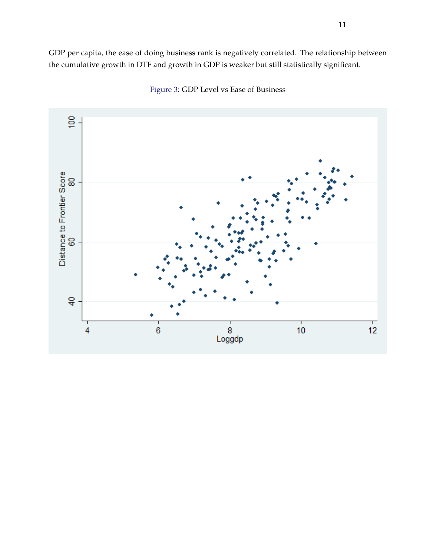GDP per capita, the ease of doing business rank is negatively correlated. The relationship between the cumulative growth in DTF and growth in GDP is weaker but still statistically significant.



Figure 3: GDP Level vs Ease of Business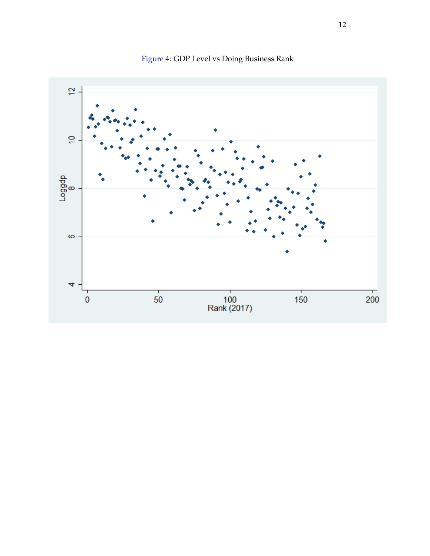

Figure 4: GDP Level vs Doing Business Rank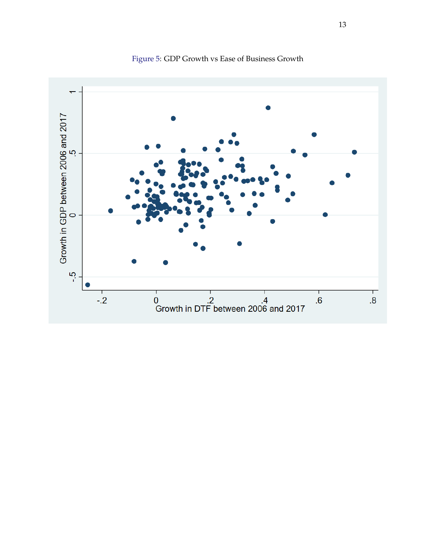

Figure 5: GDP Growth vs Ease of Business Growth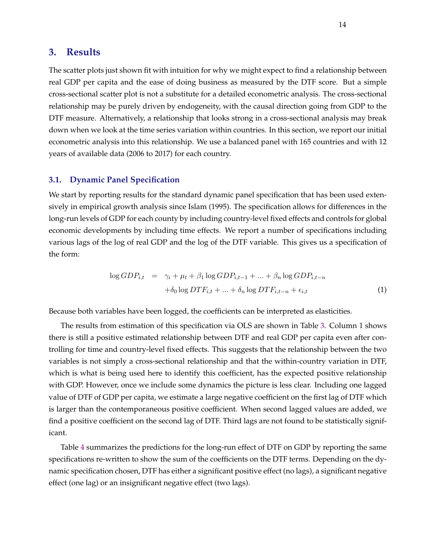## **3. Results**

The scatter plots just shown fit with intuition for why we might expect to find a relationship between real GDP per capita and the ease of doing business as measured by the DTF score. But a simple cross-sectional scatter plot is not a substitute for a detailed econometric analysis. The cross-sectional relationship may be purely driven by endogeneity, with the causal direction going from GDP to the DTF measure. Alternatively, a relationship that looks strong in a cross-sectional analysis may break down when we look at the time series variation within countries. In this section, we report our initial econometric analysis into this relationship. We use a balanced panel with 165 countries and with 12 years of available data (2006 to 2017) for each country.

#### **3.1. Dynamic Panel Specification**

We start by reporting results for the standard dynamic panel specification that has been used extensively in empirical growth analysis since Islam (1995). The specification allows for differences in the long-run levels of GDP for each county by including country-level fixed effects and controls for global economic developments by including time effects. We report a number of specifications including various lags of the log of real GDP and the log of the DTF variable. This gives us a specification of the form:

$$
\log GDP_{i,t} = \gamma_i + \mu_t + \beta_1 \log GDP_{i,t-1} + \dots + \beta_n \log GDP_{i,t-n}
$$

$$
+ \delta_0 \log DTF_{i,t} + \dots + \delta_n \log DTF_{i,t-n} + \epsilon_{i,t} \tag{1}
$$

Because both variables have been logged, the coefficients can be interpreted as elasticities.

The results from estimation of this specification via OLS are shown in Table 3. Column 1 shows there is still a positive estimated relationship between DTF and real GDP per capita even after controlling for time and country-level fixed effects. This suggests that the relationship between the two variables is not simply a cross-sectional relationship and that the within-country variation in DTF, which is what is being used here to identify this coefficient, has the expected positive relationship with GDP. However, once we include some dynamics the picture is less clear. Including one lagged value of DTF of GDP per capita, we estimate a large negative coefficient on the first lag of DTF which is larger than the contemporaneous positive coefficient. When second lagged values are added, we find a positive coefficient on the second lag of DTF. Third lags are not found to be statistically significant.

Table 4 summarizes the predictions for the long-run effect of DTF on GDP by reporting the same specifications re-written to show the sum of the coefficients on the DTF terms. Depending on the dynamic specification chosen, DTF has either a significant positive effect (no lags), a significant negative effect (one lag) or an insignificant negative effect (two lags).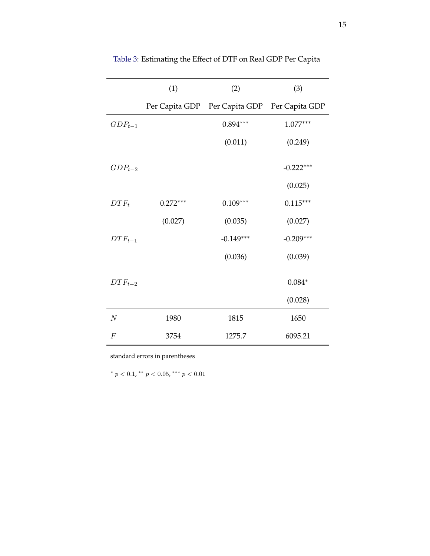|                | (1)            | (2)                           | (3)         |
|----------------|----------------|-------------------------------|-------------|
|                | Per Capita GDP | Per Capita GDP Per Capita GDP |             |
| $GDP_{t-1}$    |                | $0.894***$                    | $1.077***$  |
|                |                | (0.011)                       | (0.249)     |
| $GDP_{t-2}$    |                |                               | $-0.222***$ |
|                |                |                               | (0.025)     |
| $DTF_t$        | $0.272***$     | $0.109***$                    | $0.115***$  |
|                | (0.027)        | (0.035)                       | (0.027)     |
| $DTF_{t-1}$    |                | $-0.149***$                   | $-0.209***$ |
|                |                | (0.036)                       | (0.039)     |
| $DTF_{t-2}$    |                |                               | $0.084*$    |
|                |                |                               | (0.028)     |
| $\cal N$       | 1980           | 1815                          | 1650        |
| $\overline{F}$ | 3754           | 1275.7                        | 6095.21     |

Table 3: Estimating the Effect of DTF on Real GDP Per Capita

standard errors in parentheses

\*  $p < 0.1$ , \*\*  $p < 0.05$ , \*\*\*  $p < 0.01$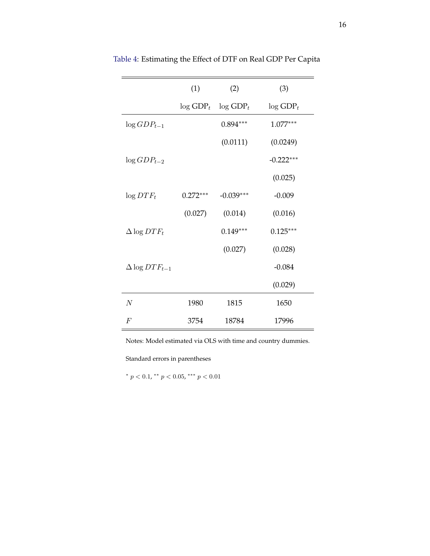|                         | (1)                     | (2)                     | (3)                     |
|-------------------------|-------------------------|-------------------------|-------------------------|
|                         | $\log$ GDP <sub>t</sub> | $\log$ GDP <sub>t</sub> | $\log$ GDP <sub>t</sub> |
| $\log GDP_{t-1}$        |                         | $0.894***$              | $1.077***$              |
|                         |                         | (0.0111)                | (0.0249)                |
| $\log GDP_{t-2}$        |                         |                         | $-0.222***$             |
|                         |                         |                         | (0.025)                 |
| $\log DTF_t$            | $0.272***$              | $-0.039***$             | $-0.009$                |
|                         | (0.027)                 | (0.014)                 | (0.016)                 |
| $\Delta \log DTF_t$     |                         | $0.149***$              | $0.125***$              |
|                         |                         | (0.027)                 | (0.028)                 |
| $\Delta \log DTF_{t-1}$ |                         |                         | $-0.084$                |
|                         |                         |                         | (0.029)                 |
| $\boldsymbol{N}$        | 1980                    | 1815                    | 1650                    |
| $\,F$                   | 3754                    | 18784                   | 17996                   |

Table 4: Estimating the Effect of DTF on Real GDP Per Capita

Notes: Model estimated via OLS with time and country dummies.

Standard errors in parentheses

\*  $p < 0.1$ , \*\*  $p < 0.05$ , \*\*\*  $p < 0.01$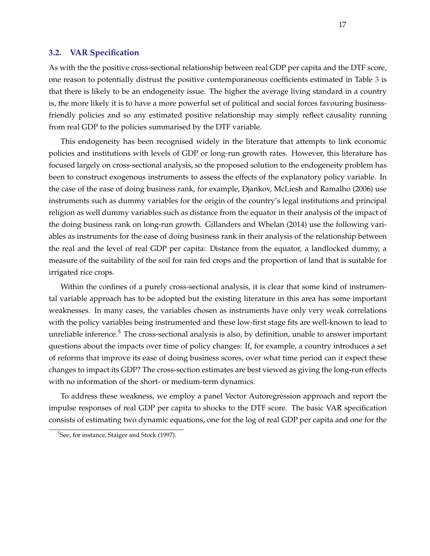#### **3.2. VAR Specification**

As with the the positive cross-sectional relationship between real GDP per capita and the DTF score, one reason to potentially distrust the positive contemporaneous coefficients estimated in Table 3 is that there is likely to be an endogeneity issue. The higher the average living standard in a country is, the more likely it is to have a more powerful set of political and social forces favouring businessfriendly policies and so any estimated positive relationship may simply reflect causality running from real GDP to the policies summarised by the DTF variable.

This endogeneity has been recognised widely in the literature that attempts to link economic policies and institutions with levels of GDP or long-run growth rates. However, this literature has focused largely on cross-sectional analysis, so the proposed solution to the endogeneity problem has been to construct exogenous instruments to assess the effects of the explanatory policy variable. In the case of the ease of doing business rank, for example, Djankov, McLiesh and Ramalho (2006) use instruments such as dummy variables for the origin of the country's legal institutions and principal religion as well dummy variables such as distance from the equator in their analysis of the impact of the doing business rank on long-run growth. Gillanders and Whelan (2014) use the following variables as instruments for the ease of doing business rank in their analysis of the relationship between the real and the level of real GDP per capita: Distance from the equator, a landlocked dummy, a measure of the suitability of the soil for rain fed crops and the proportion of land that is suitable for irrigated rice crops.

Within the confines of a purely cross-sectional analysis, it is clear that some kind of instrumental variable approach has to be adopted but the existing literature in this area has some important weaknesses. In many cases, the variables chosen as instruments have only very weak correlations with the policy variables being instrumented and these low-first stage fits are well-known to lead to unreliable inference. $5$  The cross-sectional analysis is also, by definition, unable to answer important questions about the impacts over time of policy changes: If, for example, a country introduces a set of reforms that improve its ease of doing business scores, over what time period can it expect these changes to impact its GDP? The cross-section estimates are best viewed as giving the long-run effects with no information of the short- or medium-term dynamics.

To address these weakness, we employ a panel Vector Autoregression approach and report the impulse responses of real GDP per capita to shocks to the DTF score. The basic VAR specification consists of estimating two dynamic equations, one for the log of real GDP per capita and one for the

<sup>&</sup>lt;sup>5</sup>See, for instance, Staiger and Stock (1997).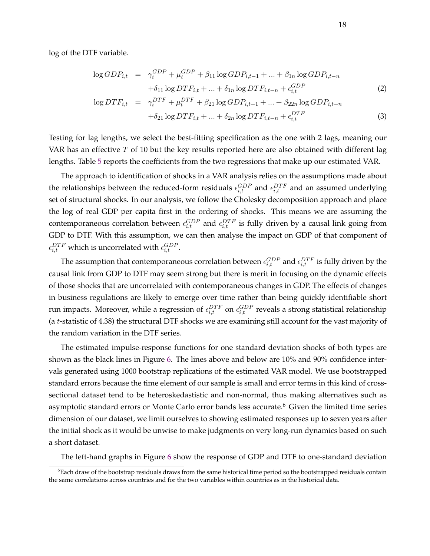log of the DTF variable.

$$
\log GDP_{i,t} = \gamma_i^{GDP} + \mu_t^{GDP} + \beta_{11} \log GDP_{i,t-1} + \dots + \beta_{1n} \log GDP_{i,t-n}
$$
  
+ 
$$
\delta_{11} \log DTF_{i,t} + \dots + \delta_{1n} \log DTF_{i,t-n} + \epsilon_{i,t}^{GDP}
$$
 (2)

$$
\log DTF_{i,t} = \gamma_i^{DTF} + \mu_t^{DTF} + \beta_{21} \log GDP_{i,t-1} + ... + \beta_{22n} \log GDP_{i,t-n} + \delta_{21} \log DTF_{i,t} + ... + \delta_{2n} \log DTF_{i,t-n} + \epsilon_{i,t}^{DTF}
$$
(3)

Testing for lag lengths, we select the best-fitting specification as the one with 2 lags, meaning our VAR has an effective  $T$  of 10 but the key results reported here are also obtained with different lag lengths. Table 5 reports the coefficients from the two regressions that make up our estimated VAR.

The approach to identification of shocks in a VAR analysis relies on the assumptions made about the relationships between the reduced-form residuals  $\epsilon_{i,t}^{GDP}$  and  $\epsilon_{i,t}^{DTF}$  and an assumed underlying set of structural shocks. In our analysis, we follow the Cholesky decomposition approach and place the log of real GDP per capita first in the ordering of shocks. This means we are assuming the contemporaneous correlation between  $\epsilon_{i,t}^{GDP}$  and  $\epsilon_{i,t}^{DTF}$  is fully driven by a causal link going from GDP to DTF. With this assumption, we can then analyse the impact on GDP of that component of  $\epsilon_{i,t}^{DTF}$  which is uncorrelated with  $\epsilon_{i,t}^{GDP}$ .

The assumption that contemporaneous correlation between  $\epsilon_{i,t}^{GDP}$  and  $\epsilon_{i,t}^{DTF}$  is fully driven by the causal link from GDP to DTF may seem strong but there is merit in focusing on the dynamic effects of those shocks that are uncorrelated with contemporaneous changes in GDP. The effects of changes in business regulations are likely to emerge over time rather than being quickly identifiable short run impacts. Moreover, while a regression of  $\epsilon_{i,t}^{DTF}$  on  $\epsilon_{i,t}^{GDP}$  reveals a strong statistical relationship (a t-statistic of 4.38) the structural DTF shocks we are examining still account for the vast majority of the random variation in the DTF series.

The estimated impulse-response functions for one standard deviation shocks of both types are shown as the black lines in Figure 6. The lines above and below are 10% and 90% confidence intervals generated using 1000 bootstrap replications of the estimated VAR model. We use bootstrapped standard errors because the time element of our sample is small and error terms in this kind of crosssectional dataset tend to be heteroskedastistic and non-normal, thus making alternatives such as asymptotic standard errors or Monte Carlo error bands less accurate.<sup>6</sup> Given the limited time series dimension of our dataset, we limit ourselves to showing estimated responses up to seven years after the initial shock as it would be unwise to make judgments on very long-run dynamics based on such a short dataset.

The left-hand graphs in Figure 6 show the response of GDP and DTF to one-standard deviation

 $6$ Each draw of the bootstrap residuals draws from the same historical time period so the bootstrapped residuals contain the same correlations across countries and for the two variables within countries as in the historical data.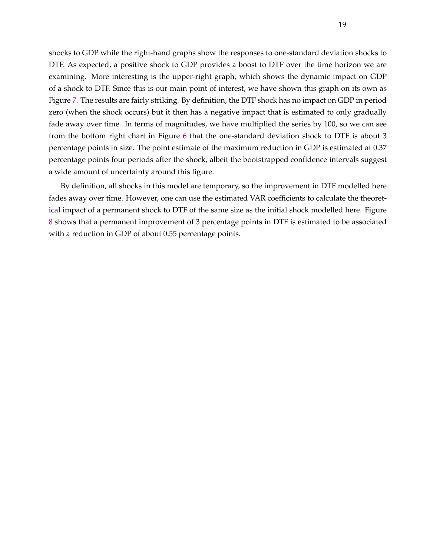shocks to GDP while the right-hand graphs show the responses to one-standard deviation shocks to DTF. As expected, a positive shock to GDP provides a boost to DTF over the time horizon we are examining. More interesting is the upper-right graph, which shows the dynamic impact on GDP of a shock to DTF. Since this is our main point of interest, we have shown this graph on its own as Figure 7. The results are fairly striking. By definition, the DTF shock has no impact on GDP in period zero (when the shock occurs) but it then has a negative impact that is estimated to only gradually fade away over time. In terms of magnitudes, we have multiplied the series by 100, so we can see from the bottom right chart in Figure 6 that the one-standard deviation shock to DTF is about 3 percentage points in size. The point estimate of the maximum reduction in GDP is estimated at 0.37 percentage points four periods after the shock, albeit the bootstrapped confidence intervals suggest a wide amount of uncertainty around this figure.

By definition, all shocks in this model are temporary, so the improvement in DTF modelled here fades away over time. However, one can use the estimated VAR coefficients to calculate the theoretical impact of a permanent shock to DTF of the same size as the initial shock modelled here. Figure 8 shows that a permanent improvement of 3 percentage points in DTF is estimated to be associated with a reduction in GDP of about 0.55 percentage points.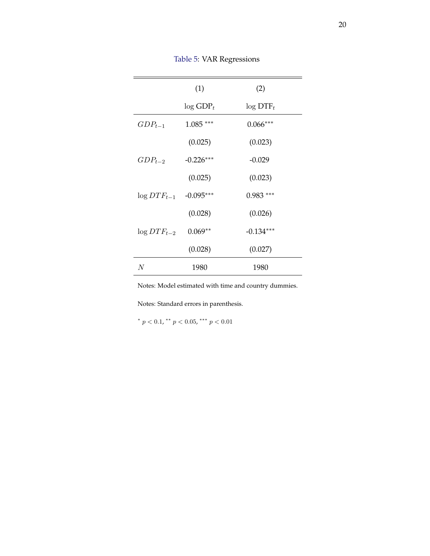|                            | (1)                     | (2)                     |
|----------------------------|-------------------------|-------------------------|
|                            | $\log$ GDP <sub>t</sub> | $\log$ DTF <sub>t</sub> |
| $GDP_{t-1}$                | $1.085***$              | $0.066***$              |
|                            | (0.025)                 | (0.023)                 |
| $GDP_{t-2}$                | $-0.226***$             | $-0.029$                |
|                            | (0.025)                 | (0.023)                 |
| $\log DTF_{t-1}$ -0.095*** |                         | $0.983***$              |
|                            | (0.028)                 | (0.026)                 |
| $\log DTF_{t-2}$           | $0.069**$               | $-0.134***$             |
|                            | (0.028)                 | (0.027)                 |
| N                          | 1980                    | 1980                    |

Table 5: VAR Regressions

Notes: Model estimated with time and country dummies.

Notes: Standard errors in parenthesis.

\*  $p < 0.1$ , \*\*  $p < 0.05$ , \*\*\*  $p < 0.01$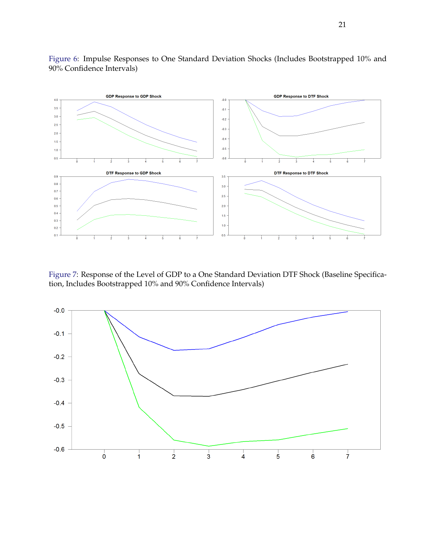

Figure 6: Impulse Responses to One Standard Deviation Shocks (Includes Bootstrapped 10% and 90% Confidence Intervals)

Figure 7: Response of the Level of GDP to a One Standard Deviation DTF Shock (Baseline Specification, Includes Bootstrapped 10% and 90% Confidence Intervals)

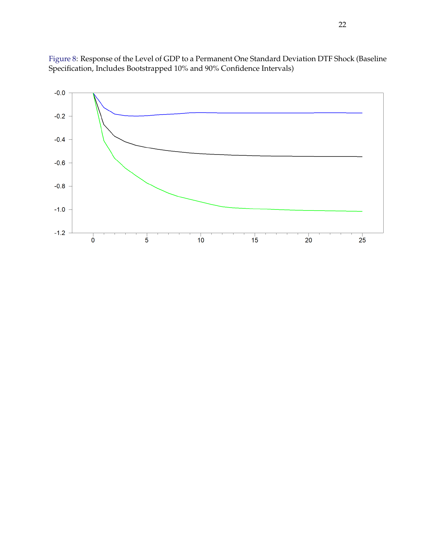

Figure 8: Response of the Level of GDP to a Permanent One Standard Deviation DTF Shock (Baseline Specification, Includes Bootstrapped 10% and 90% Confidence Intervals)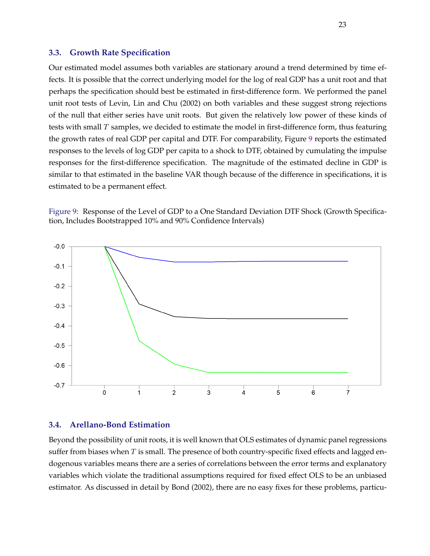#### **3.3. Growth Rate Specification**

Our estimated model assumes both variables are stationary around a trend determined by time effects. It is possible that the correct underlying model for the log of real GDP has a unit root and that perhaps the specification should best be estimated in first-difference form. We performed the panel unit root tests of Levin, Lin and Chu (2002) on both variables and these suggest strong rejections of the null that either series have unit roots. But given the relatively low power of these kinds of tests with small  $T$  samples, we decided to estimate the model in first-difference form, thus featuring the growth rates of real GDP per capital and DTF. For comparability, Figure 9 reports the estimated responses to the levels of log GDP per capita to a shock to DTF, obtained by cumulating the impulse responses for the first-difference specification. The magnitude of the estimated decline in GDP is similar to that estimated in the baseline VAR though because of the difference in specifications, it is estimated to be a permanent effect.

Figure 9: Response of the Level of GDP to a One Standard Deviation DTF Shock (Growth Specification, Includes Bootstrapped 10% and 90% Confidence Intervals)



#### **3.4. Arellano-Bond Estimation**

Beyond the possibility of unit roots, it is well known that OLS estimates of dynamic panel regressions suffer from biases when  $T$  is small. The presence of both country-specific fixed effects and lagged endogenous variables means there are a series of correlations between the error terms and explanatory variables which violate the traditional assumptions required for fixed effect OLS to be an unbiased estimator. As discussed in detail by Bond (2002), there are no easy fixes for these problems, particu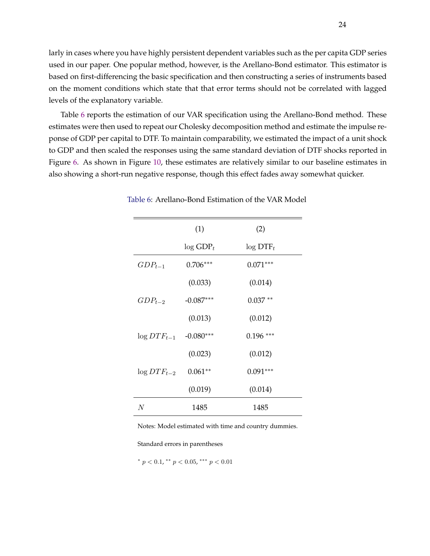larly in cases where you have highly persistent dependent variables such as the per capita GDP series used in our paper. One popular method, however, is the Arellano-Bond estimator. This estimator is based on first-differencing the basic specification and then constructing a series of instruments based on the moment conditions which state that that error terms should not be correlated with lagged levels of the explanatory variable.

Table 6 reports the estimation of our VAR specification using the Arellano-Bond method. These estimates were then used to repeat our Cholesky decomposition method and estimate the impulse reponse of GDP per capital to DTF. To maintain comparability, we estimated the impact of a unit shock to GDP and then scaled the responses using the same standard deviation of DTF shocks reported in Figure 6. As shown in Figure 10, these estimates are relatively similar to our baseline estimates in also showing a short-run negative response, though this effect fades away somewhat quicker.

|                            | (1)                     | (2)                     |
|----------------------------|-------------------------|-------------------------|
|                            | $\log$ GDP <sub>t</sub> | $\log$ DTF <sub>t</sub> |
| $GDP_{t-1}$                | $0.706***$              | $0.071***$              |
|                            | (0.033)                 | (0.014)                 |
| $GDP_{t-2}$                | $-0.087***$             | $0.037**$               |
|                            | (0.013)                 | (0.012)                 |
| $\log DTF_{t-1}$ -0.080*** |                         | $0.196***$              |
|                            | (0.023)                 | (0.012)                 |
| $\log DTF_{t-2}$           | $0.061**$               | $0.091***$              |
|                            | (0.019)                 | (0.014)                 |
| N                          | 1485                    | 1485                    |

Table 6: Arellano-Bond Estimation of the VAR Model

Notes: Model estimated with time and country dummies.

Standard errors in parentheses

\*  $p < 0.1$ , \*\*  $p < 0.05$ , \*\*\*  $p < 0.01$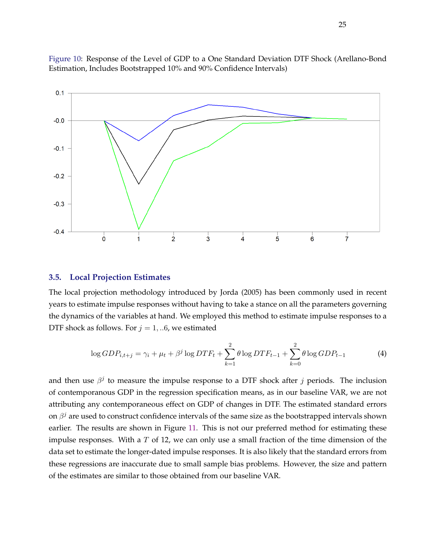

Figure 10: Response of the Level of GDP to a One Standard Deviation DTF Shock (Arellano-Bond Estimation, Includes Bootstrapped 10% and 90% Confidence Intervals)

#### **3.5. Local Projection Estimates**

The local projection methodology introduced by Jorda (2005) has been commonly used in recent years to estimate impulse responses without having to take a stance on all the parameters governing the dynamics of the variables at hand. We employed this method to estimate impulse responses to a DTF shock as follows. For  $j = 1, ...6$ , we estimated

$$
\log GDP_{i,t+j} = \gamma_i + \mu_t + \beta^j \log DTF_t + \sum_{k=1}^2 \theta \log DTF_{t-1} + \sum_{k=0}^2 \theta \log GDP_{t-1}
$$
 (4)

and then use  $\beta^j$  to measure the impulse response to a DTF shock after j periods. The inclusion of contemporanous GDP in the regression specification means, as in our baseline VAR, we are not attributing any contemporaneous effect on GDP of changes in DTF. The estimated standard errors on  $\beta^j$  are used to construct confidence intervals of the same size as the bootstrapped intervals shown earlier. The results are shown in Figure 11. This is not our preferred method for estimating these impulse responses. With a  $T$  of 12, we can only use a small fraction of the time dimension of the data set to estimate the longer-dated impulse responses. It is also likely that the standard errors from these regressions are inaccurate due to small sample bias problems. However, the size and pattern of the estimates are similar to those obtained from our baseline VAR.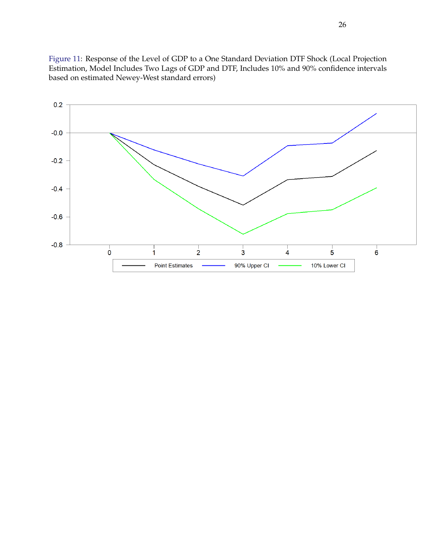Figure 11: Response of the Level of GDP to a One Standard Deviation DTF Shock (Local Projection Estimation, Model Includes Two Lags of GDP and DTF, Includes 10% and 90% confidence intervals based on estimated Newey-West standard errors)

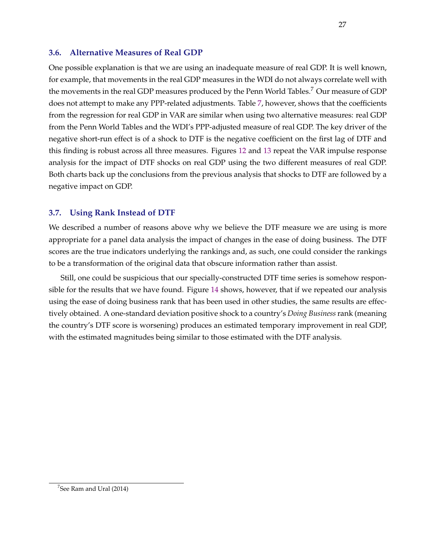### **3.6. Alternative Measures of Real GDP**

One possible explanation is that we are using an inadequate measure of real GDP. It is well known, for example, that movements in the real GDP measures in the WDI do not always correlate well with the movements in the real GDP measures produced by the Penn World Tables.<sup>7</sup> Our measure of GDP does not attempt to make any PPP-related adjustments. Table 7, however, shows that the coefficients from the regression for real GDP in VAR are similar when using two alternative measures: real GDP from the Penn World Tables and the WDI's PPP-adjusted measure of real GDP. The key driver of the negative short-run effect is of a shock to DTF is the negative coefficient on the first lag of DTF and this finding is robust across all three measures. Figures 12 and 13 repeat the VAR impulse response analysis for the impact of DTF shocks on real GDP using the two different measures of real GDP. Both charts back up the conclusions from the previous analysis that shocks to DTF are followed by a negative impact on GDP.

# **3.7. Using Rank Instead of DTF**

We described a number of reasons above why we believe the DTF measure we are using is more appropriate for a panel data analysis the impact of changes in the ease of doing business. The DTF scores are the true indicators underlying the rankings and, as such, one could consider the rankings to be a transformation of the original data that obscure information rather than assist.

Still, one could be suspicious that our specially-constructed DTF time series is somehow responsible for the results that we have found. Figure 14 shows, however, that if we repeated our analysis using the ease of doing business rank that has been used in other studies, the same results are effectively obtained. A one-standard deviation positive shock to a country's *Doing Business* rank (meaning the country's DTF score is worsening) produces an estimated temporary improvement in real GDP, with the estimated magnitudes being similar to those estimated with the DTF analysis.

 $^7$ See Ram and Ural (2014)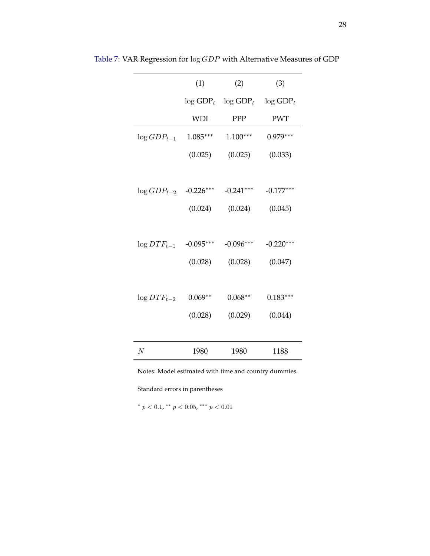|                            | (1)             | (2)                     | (3)                     |
|----------------------------|-----------------|-------------------------|-------------------------|
|                            | $\log$ GDP $_t$ | $\log$ GDP <sub>t</sub> | $\log$ GDP <sub>t</sub> |
|                            | <b>WDI</b>      | PPP                     | <b>PWT</b>              |
| $\log GDP_{t-1}$           | $1.085***$      | $1.100***$              | $0.979***$              |
|                            | (0.025)         | (0.025)                 | (0.033)                 |
|                            |                 |                         |                         |
| $\log GDP_{t-2}$ -0.226*** |                 | $-0.241***$             | $-0.177***$             |
|                            | (0.024)         | (0.024)                 | (0.045)                 |
|                            |                 |                         |                         |
| $\log DTF_{t-1}$           | $-0.095***$     | $-0.096***$             | $-0.220***$             |
|                            | (0.028)         | (0.028)                 | (0.047)                 |
|                            |                 |                         |                         |
| $\log DTF_{t-2}$           | $0.069**$       | $0.068**$               | $0.183***$              |
|                            | (0.028)         | (0.029)                 | (0.044)                 |
|                            |                 |                         |                         |
| $\boldsymbol{N}$           | 1980            | 1980                    | 1188                    |

Table 7: VAR Regression for log GDP with Alternative Measures of GDP

Notes: Model estimated with time and country dummies.

Standard errors in parentheses

\*  $p < 0.1$ , \*\*  $p < 0.05$ , \*\*\*  $p < 0.01$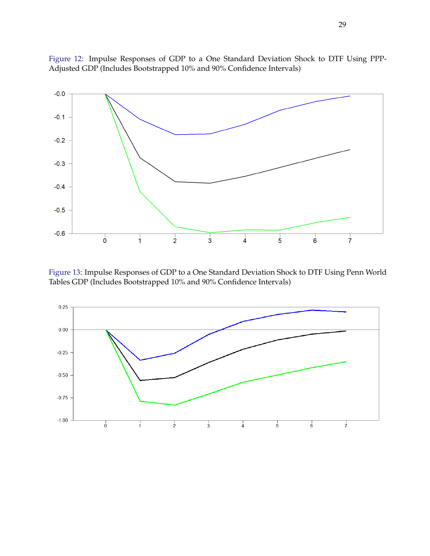

Figure 12: Impulse Responses of GDP to a One Standard Deviation Shock to DTF Using PPP-Adjusted GDP (Includes Bootstrapped 10% and 90% Confidence Intervals)

Figure 13: Impulse Responses of GDP to a One Standard Deviation Shock to DTF Using Penn World Tables GDP (Includes Bootstrapped 10% and 90% Confidence Intervals)

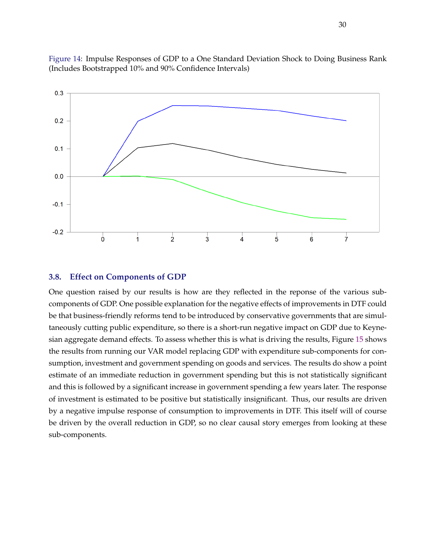

Figure 14: Impulse Responses of GDP to a One Standard Deviation Shock to Doing Business Rank (Includes Bootstrapped 10% and 90% Confidence Intervals)

#### **3.8. Effect on Components of GDP**

One question raised by our results is how are they reflected in the reponse of the various subcomponents of GDP. One possible explanation for the negative effects of improvements in DTF could be that business-friendly reforms tend to be introduced by conservative governments that are simultaneously cutting public expenditure, so there is a short-run negative impact on GDP due to Keynesian aggregate demand effects. To assess whether this is what is driving the results, Figure 15 shows the results from running our VAR model replacing GDP with expenditure sub-components for consumption, investment and government spending on goods and services. The results do show a point estimate of an immediate reduction in government spending but this is not statistically significant and this is followed by a significant increase in government spending a few years later. The response of investment is estimated to be positive but statistically insignificant. Thus, our results are driven by a negative impulse response of consumption to improvements in DTF. This itself will of course be driven by the overall reduction in GDP, so no clear causal story emerges from looking at these sub-components.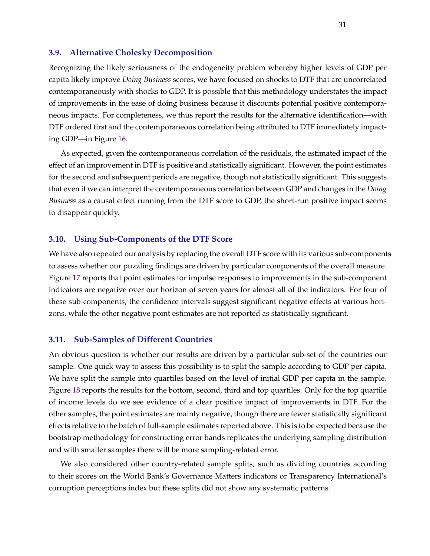#### **3.9. Alternative Cholesky Decomposition**

Recognizing the likely seriousness of the endogeneity problem whereby higher levels of GDP per capita likely improve *Doing Business* scores, we have focused on shocks to DTF that are uncorrelated contemporaneously with shocks to GDP. It is possible that this methodology understates the impact of improvements in the ease of doing business because it discounts potential positive contemporaneous impacts. For completeness, we thus report the results for the alternative identification—with DTF ordered first and the contemporaneous correlation being attributed to DTF immediately impacting GDP—in Figure 16.

As expected, given the contemporaneous correlation of the residuals, the estimated impact of the effect of an improvement in DTF is positive and statistically significant. However, the point estimates for the second and subsequent periods are negative, though not statistically significant. This suggests that even if we can interpret the contemporaneous correlation between GDP and changes in the *Doing Business* as a causal effect running from the DTF score to GDP, the short-run positive impact seems to disappear quickly.

#### **3.10. Using Sub-Components of the DTF Score**

We have also repeated our analysis by replacing the overall DTF score with its various sub-components to assess whether our puzzling findings are driven by particular components of the overall measure. Figure 17 reports that point estimates for impulse responses to improvements in the sub-component indicators are negative over our horizon of seven years for almost all of the indicators. For four of these sub-components, the confidence intervals suggest significant negative effects at various horizons, while the other negative point estimates are not reported as statistically significant.

#### **3.11. Sub-Samples of Different Countries**

An obvious question is whether our results are driven by a particular sub-set of the countries our sample. One quick way to assess this possibility is to split the sample according to GDP per capita. We have split the sample into quartiles based on the level of initial GDP per capita in the sample. Figure 18 reports the results for the bottom, second, third and top quartiles. Only for the top quartile of income levels do we see evidence of a clear positive impact of improvements in DTF. For the other samples, the point estimates are mainly negative, though there are fewer statistically significant effects relative to the batch of full-sample estimates reported above. This is to be expected because the bootstrap methodology for constructing error bands replicates the underlying sampling distribution and with smaller samples there will be more sampling-related error.

We also considered other country-related sample splits, such as dividing countries according to their scores on the World Bank's Governance Matters indicators or Transparency International's corruption perceptions index but these splits did not show any systematic patterns.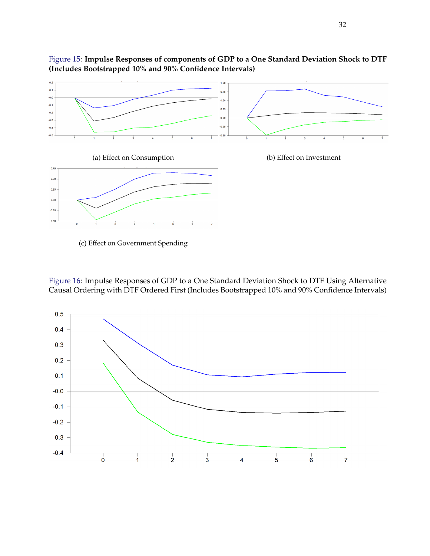

Figure 15: **Impulse Responses of components of GDP to a One Standard Deviation Shock to DTF (Includes Bootstrapped 10% and 90% Confidence Intervals)**

(c) Effect on Government Spending

Figure 16: Impulse Responses of GDP to a One Standard Deviation Shock to DTF Using Alternative Causal Ordering with DTF Ordered First (Includes Bootstrapped 10% and 90% Confidence Intervals)

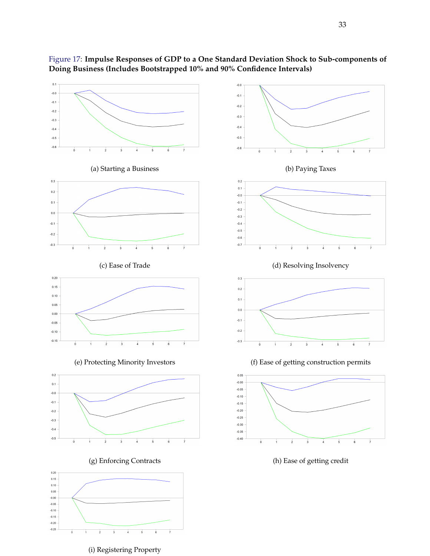



(i) Registering Property

 $-0.25$ 

 $\overline{\bullet}$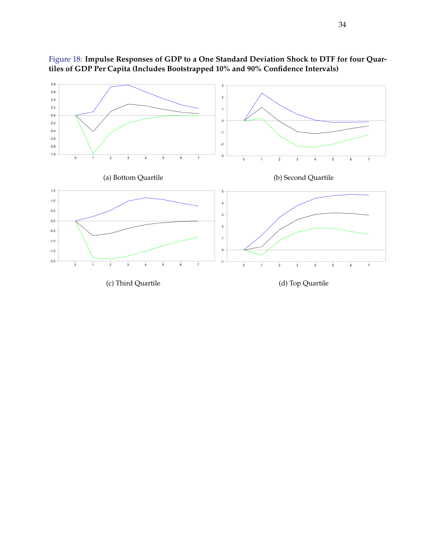

Figure 18: **Impulse Responses of GDP to a One Standard Deviation Shock to DTF for four Quartiles of GDP Per Capita (Includes Bootstrapped 10% and 90% Confidence Intervals)**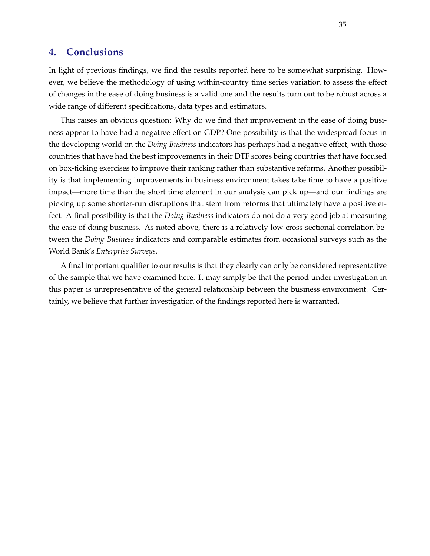# **4. Conclusions**

In light of previous findings, we find the results reported here to be somewhat surprising. However, we believe the methodology of using within-country time series variation to assess the effect of changes in the ease of doing business is a valid one and the results turn out to be robust across a wide range of different specifications, data types and estimators.

This raises an obvious question: Why do we find that improvement in the ease of doing business appear to have had a negative effect on GDP? One possibility is that the widespread focus in the developing world on the *Doing Business* indicators has perhaps had a negative effect, with those countries that have had the best improvements in their DTF scores being countries that have focused on box-ticking exercises to improve their ranking rather than substantive reforms. Another possibility is that implementing improvements in business environment takes take time to have a positive impact—more time than the short time element in our analysis can pick up—and our findings are picking up some shorter-run disruptions that stem from reforms that ultimately have a positive effect. A final possibility is that the *Doing Business* indicators do not do a very good job at measuring the ease of doing business. As noted above, there is a relatively low cross-sectional correlation between the *Doing Business* indicators and comparable estimates from occasional surveys such as the World Bank's *Enterprise Surveys*.

A final important qualifier to our results is that they clearly can only be considered representative of the sample that we have examined here. It may simply be that the period under investigation in this paper is unrepresentative of the general relationship between the business environment. Certainly, we believe that further investigation of the findings reported here is warranted.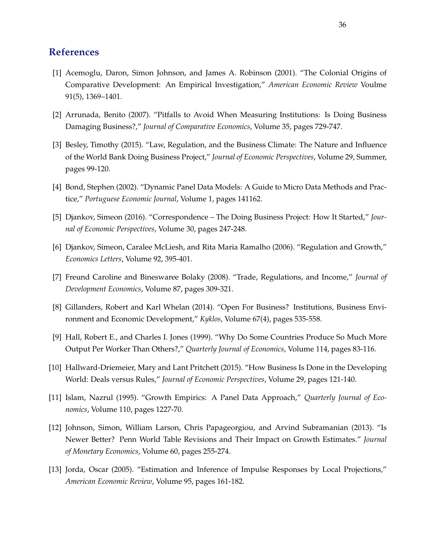# **References**

- [1] Acemoglu, Daron, Simon Johnson, and James A. Robinson (2001). "The Colonial Origins of Comparative Development: An Empirical Investigation," *American Economic Review* Voulme 91(5), 1369–1401.
- [2] Arrunada, Benito (2007). "Pitfalls to Avoid When Measuring Institutions: Is Doing Business Damaging Business?," *Journal of Comparative Economics*, Volume 35, pages 729-747.
- [3] Besley, Timothy (2015). "Law, Regulation, and the Business Climate: The Nature and Influence of the World Bank Doing Business Project," *Journal of Economic Perspectives*, Volume 29, Summer, pages 99-120.
- [4] Bond, Stephen (2002). "Dynamic Panel Data Models: A Guide to Micro Data Methods and Practice," *Portuguese Economic Journal*, Volume 1, pages 141162.
- [5] Djankov, Simeon (2016). "Correspondence The Doing Business Project: How It Started," *Journal of Economic Perspectives*, Volume 30, pages 247-248.
- [6] Djankov, Simeon, Caralee McLiesh, and Rita Maria Ramalho (2006). "Regulation and Growth," *Economics Letters*, Volume 92, 395-401.
- [7] Freund Caroline and Bineswaree Bolaky (2008). "Trade, Regulations, and Income," *Journal of Development Economics*, Volume 87, pages 309-321.
- [8] Gillanders, Robert and Karl Whelan (2014). "Open For Business? Institutions, Business Environment and Economic Development," *Kyklos*, Volume 67(4), pages 535-558.
- [9] Hall, Robert E., and Charles I. Jones (1999). "Why Do Some Countries Produce So Much More Output Per Worker Than Others?," *Quarterly Journal of Economics*, Volume 114, pages 83-116.
- [10] Hallward-Driemeier, Mary and Lant Pritchett (2015). "How Business Is Done in the Developing World: Deals versus Rules," *Journal of Economic Perspectives*, Volume 29, pages 121-140.
- [11] Islam, Nazrul (1995). "Growth Empirics: A Panel Data Approach," *Quarterly Journal of Economics*, Volume 110, pages 1227-70.
- [12] Johnson, Simon, William Larson, Chris Papageorgiou, and Arvind Subramanian (2013). "Is Newer Better? Penn World Table Revisions and Their Impact on Growth Estimates." *Journal of Monetary Economics*, Volume 60, pages 255-274.
- [13] Jorda, Oscar (2005). "Estimation and Inference of Impulse Responses by Local Projections," *American Economic Review*, Volume 95, pages 161-182.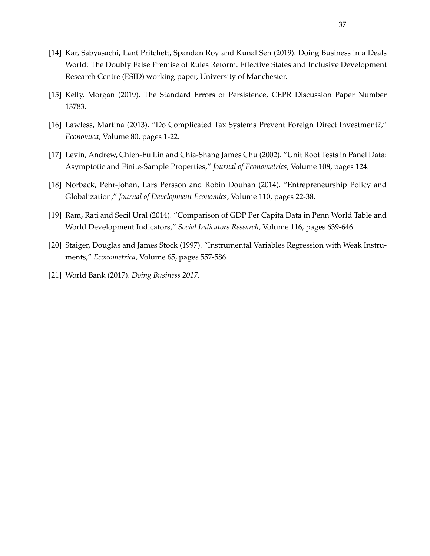- [14] Kar, Sabyasachi, Lant Pritchett, Spandan Roy and Kunal Sen (2019). Doing Business in a Deals World: The Doubly False Premise of Rules Reform. Effective States and Inclusive Development Research Centre (ESID) working paper, University of Manchester.
- [15] Kelly, Morgan (2019). The Standard Errors of Persistence, CEPR Discussion Paper Number 13783.
- [16] Lawless, Martina (2013). "Do Complicated Tax Systems Prevent Foreign Direct Investment?," *Economica*, Volume 80, pages 1-22.
- [17] Levin, Andrew, Chien-Fu Lin and Chia-Shang James Chu (2002). "Unit Root Tests in Panel Data: Asymptotic and Finite-Sample Properties," *Journal of Econometrics*, Volume 108, pages 124.
- [18] Norback, Pehr-Johan, Lars Persson and Robin Douhan (2014). "Entrepreneurship Policy and Globalization," *Journal of Development Economics*, Volume 110, pages 22-38.
- [19] Ram, Rati and Secil Ural (2014). "Comparison of GDP Per Capita Data in Penn World Table and World Development Indicators," *Social Indicators Research*, Volume 116, pages 639-646.
- [20] Staiger, Douglas and James Stock (1997). "Instrumental Variables Regression with Weak Instruments," *Econometrica*, Volume 65, pages 557-586.
- [21] World Bank (2017). *Doing Business 2017*.